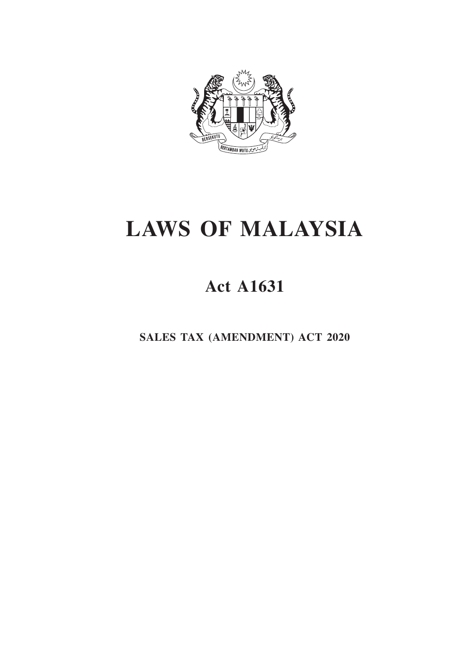

# **LAWS OF MALAYSIA**

# **Act A1631**

**SALES TAX (AMENDMENT) ACT 2020**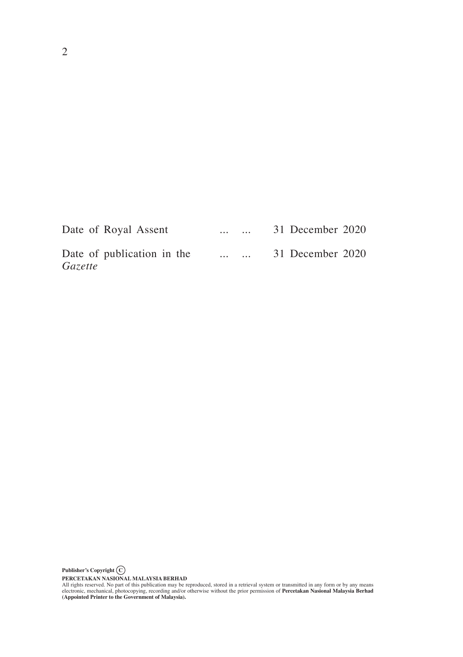| Date of Royal Assent                  | $\cdots$ |  | 31 December 2020 |  |
|---------------------------------------|----------|--|------------------|--|
| Date of publication in the<br>Gazette | $\cdots$ |  | 31 December 2020 |  |

**PERCETAKAN NASIONAL MALAYSIA BERHAD**<br>All rights reserved. No part of this publication may be reproduced, stored in a retrieval system or transmitted in any form or by any means<br>electronic, mechanical, photocopying, record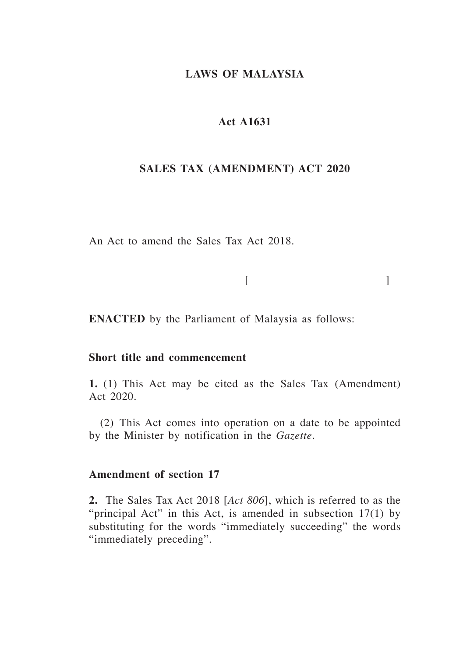# **LAWS OF MALAYSIA**

# **Act A1631**

#### **SALES TAX (AMENDMENT) ACT 2020**

An Act to amend the Sales Tax Act 2018.

 $[$ 

**ENACTED** by the Parliament of Malaysia as follows:

# **Short title and commencement**

**1.** (1) This Act may be cited as the Sales Tax (Amendment) Act 2020.

(2) This Act comes into operation on a date to be appointed by the Minister by notification in the *Gazette*.

# **Amendment of section 17**

**2.** The Sales Tax Act 2018 [*Act 806*], which is referred to as the "principal Act" in this Act, is amended in subsection 17(1) by substituting for the words "immediately succeeding" the words "immediately preceding".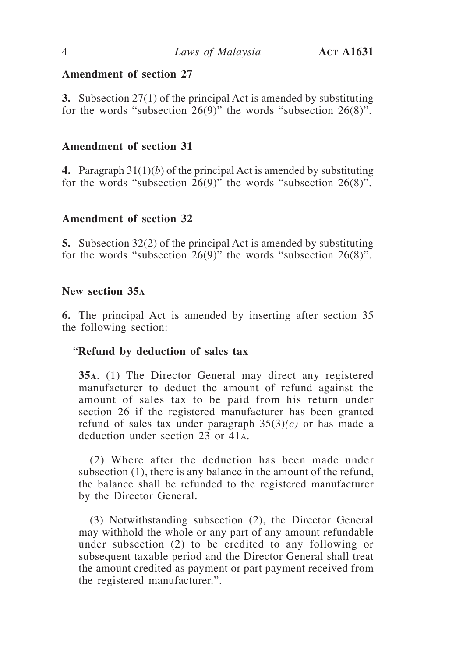## **Amendment of section 27**

**3.** Subsection 27(1) of the principal Act is amended by substituting for the words "subsection 26(9)" the words "subsection 26(8)".

## **Amendment of section 31**

**4.** Paragraph 31(1)(*b*) of the principal Act is amended by substituting for the words "subsection 26(9)" the words "subsection 26(8)".

#### **Amendment of section 32**

**5.** Subsection 32(2) of the principal Act is amended by substituting for the words "subsection 26(9)" the words "subsection 26(8)".

#### **New section 35<sup>a</sup>**

**6.** The principal Act is amended by inserting after section 35 the following section:

#### "**Refund by deduction of sales tax**

**35a**. (1) The Director General may direct any registered manufacturer to deduct the amount of refund against the amount of sales tax to be paid from his return under section 26 if the registered manufacturer has been granted refund of sales tax under paragraph 35(3)*(c)* or has made a deduction under section 23 or 41a.

(2) Where after the deduction has been made under subsection (1), there is any balance in the amount of the refund, the balance shall be refunded to the registered manufacturer by the Director General.

(3) Notwithstanding subsection (2), the Director General may withhold the whole or any part of any amount refundable under subsection (2) to be credited to any following or subsequent taxable period and the Director General shall treat the amount credited as payment or part payment received from the registered manufacturer.".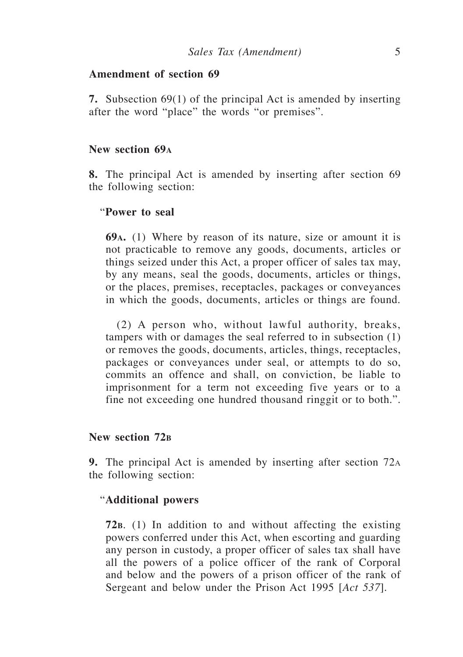# **Amendment of section 69**

**7.** Subsection 69(1) of the principal Act is amended by inserting after the word "place" the words "or premises".

#### **New section 69a**

**8.** The principal Act is amended by inserting after section 69 the following section:

#### "**Power to seal**

**69a.** (1) Where by reason of its nature, size or amount it is not practicable to remove any goods, documents, articles or things seized under this Act, a proper officer of sales tax may, by any means, seal the goods, documents, articles or things, or the places, premises, receptacles, packages or conveyances in which the goods, documents, articles or things are found.

(2) A person who, without lawful authority, breaks, tampers with or damages the seal referred to in subsection (1) or removes the goods, documents, articles, things, receptacles, packages or conveyances under seal, or attempts to do so, commits an offence and shall, on conviction, be liable to imprisonment for a term not exceeding five years or to a fine not exceeding one hundred thousand ringgit or to both.".

### **New section 72b**

**9.** The principal Act is amended by inserting after section 72<sup>a</sup> the following section:

#### "**Additional powers**

**72b**. (1) In addition to and without affecting the existing powers conferred under this Act, when escorting and guarding any person in custody, a proper officer of sales tax shall have all the powers of a police officer of the rank of Corporal and below and the powers of a prison officer of the rank of Sergeant and below under the Prison Act 1995 [*Act 537*].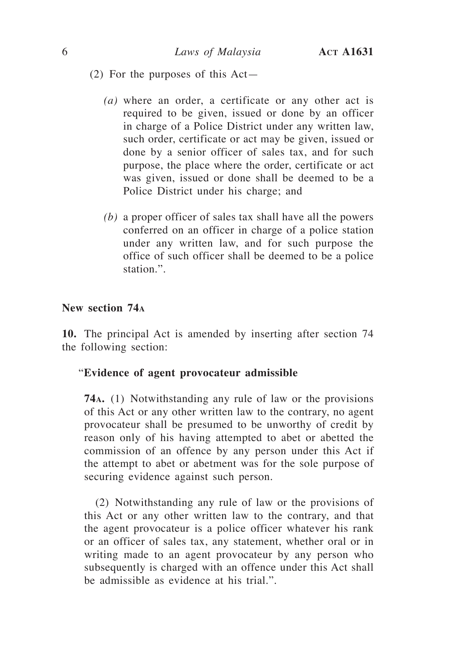- (2) For the purposes of this Act—
	- *(a)* where an order, a certificate or any other act is required to be given, issued or done by an officer in charge of a Police District under any written law, such order, certificate or act may be given, issued or done by a senior officer of sales tax, and for such purpose, the place where the order, certificate or act was given, issued or done shall be deemed to be a Police District under his charge; and
	- *(b)* a proper officer of sales tax shall have all the powers conferred on an officer in charge of a police station under any written law, and for such purpose the office of such officer shall be deemed to be a police station.".

#### **New section 74<sup>a</sup>**

**10.** The principal Act is amended by inserting after section 74 the following section:

#### "**Evidence of agent provocateur admissible**

**74a.** (1) Notwithstanding any rule of law or the provisions of this Act or any other written law to the contrary, no agent provocateur shall be presumed to be unworthy of credit by reason only of his having attempted to abet or abetted the commission of an offence by any person under this Act if the attempt to abet or abetment was for the sole purpose of securing evidence against such person.

(2) Notwithstanding any rule of law or the provisions of this Act or any other written law to the contrary, and that the agent provocateur is a police officer whatever his rank or an officer of sales tax, any statement, whether oral or in writing made to an agent provocateur by any person who subsequently is charged with an offence under this Act shall be admissible as evidence at his trial.".